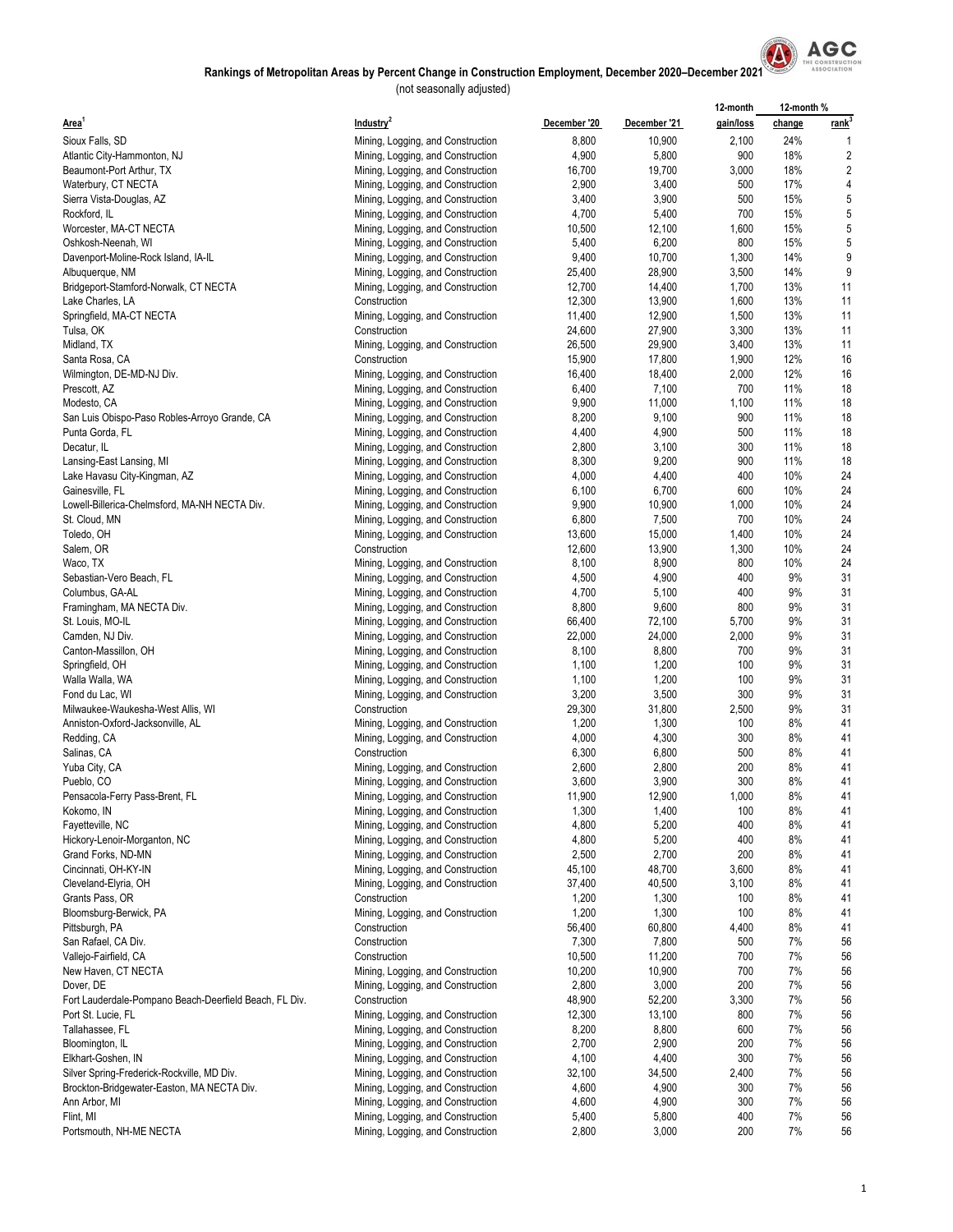

|                                                        |                                   |              |              | 12-month  | 12-month % |                |
|--------------------------------------------------------|-----------------------------------|--------------|--------------|-----------|------------|----------------|
| Area <sup>1</sup>                                      | Industry <sup>2</sup>             | December '20 | December '21 | gain/loss | change     | <u>rank</u>    |
| Sioux Falls, SD                                        | Mining, Logging, and Construction | 8,800        | 10,900       | 2,100     | 24%        | 1              |
| Atlantic City-Hammonton, NJ                            | Mining, Logging, and Construction | 4,900        | 5,800        | 900       | 18%        | $\overline{c}$ |
| Beaumont-Port Arthur, TX                               | Mining, Logging, and Construction | 16,700       | 19,700       | 3,000     | 18%        | $\overline{c}$ |
| Waterbury, CT NECTA                                    | Mining, Logging, and Construction | 2,900        | 3,400        | 500       | 17%        | 4              |
| Sierra Vista-Douglas, AZ                               | Mining, Logging, and Construction | 3,400        | 3,900        | 500       | 15%        | 5              |
| Rockford, IL                                           |                                   | 4,700        | 5,400        | 700       | 15%        | 5              |
|                                                        | Mining, Logging, and Construction |              |              |           | 15%        | 5              |
| Worcester, MA-CT NECTA                                 | Mining, Logging, and Construction | 10,500       | 12,100       | 1,600     |            |                |
| Oshkosh-Neenah, WI                                     | Mining, Logging, and Construction | 5,400        | 6,200        | 800       | 15%        | 5              |
| Davenport-Moline-Rock Island, IA-IL                    | Mining, Logging, and Construction | 9,400        | 10,700       | 1,300     | 14%        | 9              |
| Albuquerque, NM                                        | Mining, Logging, and Construction | 25,400       | 28,900       | 3,500     | 14%        | 9              |
| Bridgeport-Stamford-Norwalk, CT NECTA                  | Mining, Logging, and Construction | 12,700       | 14,400       | 1,700     | 13%        | 11             |
| Lake Charles, LA                                       | Construction                      | 12,300       | 13,900       | 1,600     | 13%        | 11             |
| Springfield, MA-CT NECTA                               | Mining, Logging, and Construction | 11,400       | 12,900       | 1,500     | 13%        | 11             |
| Tulsa, OK                                              | Construction                      | 24,600       | 27,900       | 3,300     | 13%        | 11             |
| Midland, TX                                            | Mining, Logging, and Construction | 26,500       | 29,900       | 3,400     | 13%        | 11             |
| Santa Rosa, CA                                         | Construction                      | 15,900       | 17,800       | 1,900     | 12%        | 16             |
| Wilmington, DE-MD-NJ Div.                              | Mining, Logging, and Construction | 16,400       | 18,400       | 2,000     | 12%        | 16             |
| Prescott, AZ                                           | Mining, Logging, and Construction | 6,400        | 7,100        | 700       | 11%        | 18             |
| Modesto, CA                                            | Mining, Logging, and Construction | 9,900        | 11,000       | 1,100     | 11%        | 18             |
| San Luis Obispo-Paso Robles-Arroyo Grande, CA          | Mining, Logging, and Construction | 8,200        | 9,100        | 900       | 11%        | 18             |
| Punta Gorda, FL                                        | Mining, Logging, and Construction | 4,400        | 4,900        | 500       | 11%        | 18             |
| Decatur, IL                                            | Mining, Logging, and Construction | 2,800        | 3,100        | 300       | 11%        | 18             |
| Lansing-East Lansing, MI                               | Mining, Logging, and Construction | 8,300        | 9,200        | 900       | 11%        | 18             |
| Lake Havasu City-Kingman, AZ                           | Mining, Logging, and Construction | 4,000        | 4,400        | 400       | 10%        | 24             |
| Gainesville, FL                                        | Mining, Logging, and Construction | 6,100        | 6,700        | 600       | 10%        | 24             |
| Lowell-Billerica-Chelmsford, MA-NH NECTA Div.          | Mining, Logging, and Construction | 9,900        | 10,900       | 1,000     | 10%        | 24             |
| St. Cloud, MN                                          | Mining, Logging, and Construction | 6,800        | 7,500        | 700       | 10%        | 24             |
| Toledo, OH                                             | Mining, Logging, and Construction | 13,600       | 15,000       | 1,400     | 10%        | 24             |
| Salem, OR                                              | Construction                      | 12,600       | 13,900       | 1,300     | 10%        | 24             |
| Waco, TX                                               | Mining, Logging, and Construction | 8,100        | 8,900        | 800       | 10%        | 24             |
| Sebastian-Vero Beach, FL                               | Mining, Logging, and Construction | 4,500        | 4,900        | 400       | 9%         | 31             |
| Columbus, GA-AL                                        | Mining, Logging, and Construction | 4,700        | 5,100        | 400       | 9%         | 31             |
| Framingham, MA NECTA Div.                              | Mining, Logging, and Construction | 8,800        | 9,600        | 800       | 9%         | 31             |
| St. Louis, MO-IL                                       | Mining, Logging, and Construction | 66,400       | 72,100       | 5,700     | 9%         | 31             |
| Camden, NJ Div.                                        | Mining, Logging, and Construction | 22,000       | 24,000       | 2,000     | 9%         | 31             |
| Canton-Massillon, OH                                   | Mining, Logging, and Construction | 8,100        | 8,800        | 700       | 9%         | 31             |
| Springfield, OH                                        | Mining, Logging, and Construction | 1,100        | 1,200        | 100       | 9%         | 31             |
| Walla Walla, WA                                        | Mining, Logging, and Construction | 1,100        | 1,200        | 100       | 9%         | 31             |
| Fond du Lac, WI                                        | Mining, Logging, and Construction | 3,200        | 3,500        | 300       | 9%         | 31             |
| Milwaukee-Waukesha-West Allis, WI                      | Construction                      | 29,300       | 31,800       | 2,500     | 9%         | 31             |
| Anniston-Oxford-Jacksonville, AL                       | Mining, Logging, and Construction |              | 1,300        | 100       | 8%         | 41             |
|                                                        |                                   | 1,200        |              |           |            |                |
| Redding, CA                                            | Mining, Logging, and Construction | 4,000        | 4,300        | 300       | 8%         | 41             |
| Salinas, CA                                            | Construction                      | 6,300        | 6,800        | 500       | 8%         | 41             |
| Yuba City, CA                                          | Mining, Logging, and Construction | 2,600        | 2,800        | 200       | 8%         | 41             |
| Pueblo, CO                                             | Mining, Logging, and Construction | 3,600        | 3,900        | 300       | 8%         | 41             |
| Pensacola-Ferry Pass-Brent, FL                         | Mining, Logging, and Construction | 11,900       | 12,900       | 1,000     | 8%         | 41             |
| Kokomo, IN                                             | Mining, Logging, and Construction | 1,300        | 1,400        | 100       | 8%         | 41             |
| Fayetteville, NC                                       | Mining, Logging, and Construction | 4,800        | 5,200        | 400       | 8%         | 41             |
| Hickory-Lenoir-Morganton, NC                           | Mining, Logging, and Construction | 4,800        | 5,200        | 400       | 8%         | 41             |
| Grand Forks, ND-MN                                     | Mining, Logging, and Construction | 2,500        | 2,700        | 200       | 8%         | 41             |
| Cincinnati, OH-KY-IN                                   | Mining, Logging, and Construction | 45,100       | 48,700       | 3,600     | 8%         | 41             |
| Cleveland-Elyria, OH                                   | Mining, Logging, and Construction | 37,400       | 40,500       | 3,100     | 8%         | 41             |
| Grants Pass, OR                                        | Construction                      | 1,200        | 1,300        | 100       | 8%         | 41             |
| Bloomsburg-Berwick, PA                                 | Mining, Logging, and Construction | 1,200        | 1,300        | 100       | 8%         | 41             |
| Pittsburgh, PA                                         | Construction                      | 56,400       | 60,800       | 4,400     | 8%         | 41             |
| San Rafael, CA Div.                                    | Construction                      | 7,300        | 7,800        | 500       | 7%         | 56             |
| Vallejo-Fairfield, CA                                  | Construction                      | 10,500       | 11,200       | 700       | 7%         | 56             |
| New Haven, CT NECTA                                    | Mining, Logging, and Construction | 10,200       | 10,900       | 700       | 7%         | 56             |
| Dover, DE                                              | Mining, Logging, and Construction | 2,800        | 3,000        | 200       | 7%         | 56             |
| Fort Lauderdale-Pompano Beach-Deerfield Beach, FL Div. | Construction                      | 48,900       | 52,200       | 3,300     | 7%         | 56             |
| Port St. Lucie, FL                                     | Mining, Logging, and Construction | 12,300       | 13,100       | 800       | 7%         | 56             |
| Tallahassee, FL                                        | Mining, Logging, and Construction | 8,200        | 8,800        | 600       | 7%         | 56             |
| Bloomington, IL                                        | Mining, Logging, and Construction | 2,700        | 2,900        | 200       | 7%         | 56             |
| Elkhart-Goshen, IN                                     | Mining, Logging, and Construction | 4,100        | 4,400        | 300       | 7%         | 56             |
| Silver Spring-Frederick-Rockville, MD Div.             | Mining, Logging, and Construction | 32,100       | 34,500       | 2,400     | 7%         | 56             |
| Brockton-Bridgewater-Easton, MA NECTA Div.             | Mining, Logging, and Construction | 4,600        | 4,900        | 300       | 7%         | 56             |
| Ann Arbor, MI                                          | Mining, Logging, and Construction | 4,600        | 4,900        | 300       | 7%         | 56             |
| Flint, MI                                              | Mining, Logging, and Construction | 5,400        | 5,800        | 400       | 7%         | 56             |
| Portsmouth, NH-ME NECTA                                | Mining, Logging, and Construction | 2,800        | 3,000        | 200       | 7%         | 56             |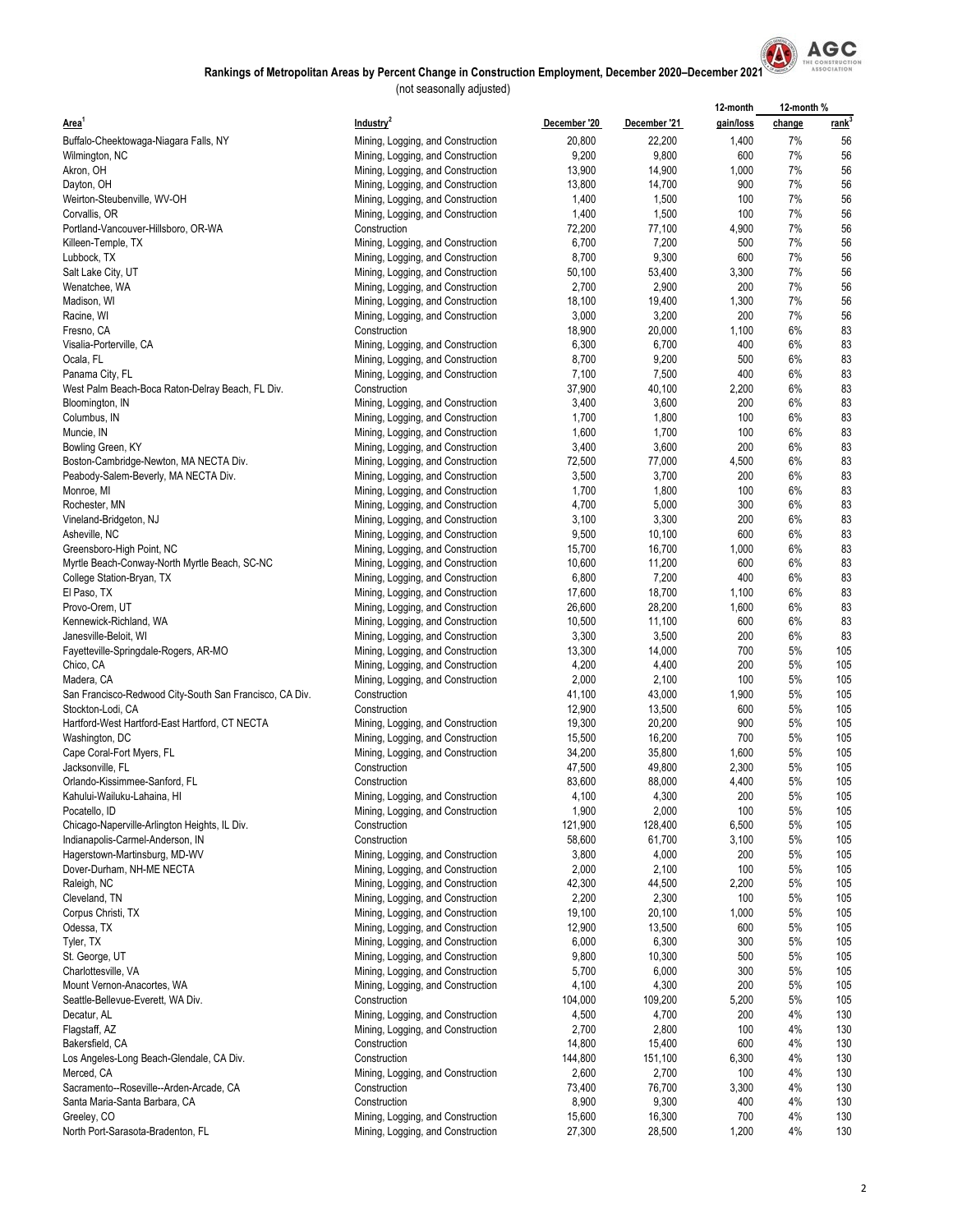

|                                                            |                                                                        |                   |                  | 12-month     | 12-month% |                   |
|------------------------------------------------------------|------------------------------------------------------------------------|-------------------|------------------|--------------|-----------|-------------------|
| Area <sup>1</sup>                                          | Industry <sup>2</sup>                                                  | December '20      | December '21     | gain/loss    | change    | rank <sup>3</sup> |
| Buffalo-Cheektowaga-Niagara Falls, NY                      | Mining, Logging, and Construction                                      | 20,800            | 22,200           | 1,400        | 7%        | 56                |
| Wilmington, NC                                             | Mining, Logging, and Construction                                      | 9,200             | 9,800            | 600          | 7%        | 56                |
| Akron, OH                                                  | Mining, Logging, and Construction                                      | 13,900            | 14,900           | 1,000        | 7%        | 56                |
| Dayton, OH                                                 | Mining, Logging, and Construction                                      | 13,800            | 14,700           | 900          | 7%        | 56                |
| Weirton-Steubenville, WV-OH                                | Mining, Logging, and Construction                                      | 1,400             | 1,500            | 100          | 7%        | 56                |
| Corvallis, OR                                              | Mining, Logging, and Construction                                      | 1,400             | 1,500            | 100          | 7%        | 56                |
| Portland-Vancouver-Hillsboro, OR-WA                        | Construction                                                           | 72,200            | 77,100           | 4,900        | 7%        | 56                |
| Killeen-Temple, TX                                         | Mining, Logging, and Construction                                      | 6,700             | 7,200            | 500          | 7%        | 56                |
| Lubbock, TX<br>Salt Lake City, UT                          | Mining, Logging, and Construction                                      | 8,700<br>50,100   | 9,300<br>53,400  | 600<br>3,300 | 7%<br>7%  | 56<br>56          |
| Wenatchee, WA                                              | Mining, Logging, and Construction<br>Mining, Logging, and Construction | 2,700             | 2,900            | 200          | 7%        | 56                |
| Madison, WI                                                | Mining, Logging, and Construction                                      | 18,100            | 19,400           | 1,300        | 7%        | 56                |
| Racine, WI                                                 | Mining, Logging, and Construction                                      | 3,000             | 3,200            | 200          | 7%        | 56                |
| Fresno, CA                                                 | Construction                                                           | 18,900            | 20,000           | 1,100        | 6%        | 83                |
| Visalia-Porterville, CA                                    | Mining, Logging, and Construction                                      | 6,300             | 6,700            | 400          | 6%        | 83                |
| Ocala, FL                                                  | Mining, Logging, and Construction                                      | 8,700             | 9,200            | 500          | 6%        | 83                |
| Panama City, FL                                            | Mining, Logging, and Construction                                      | 7,100             | 7,500            | 400          | 6%        | 83                |
| West Palm Beach-Boca Raton-Delray Beach, FL Div.           | Construction                                                           | 37,900            | 40,100           | 2,200        | 6%        | 83                |
| Bloomington, IN                                            | Mining, Logging, and Construction                                      | 3,400             | 3,600            | 200          | 6%        | 83                |
| Columbus, IN                                               | Mining, Logging, and Construction                                      | 1,700             | 1,800            | 100          | 6%        | 83                |
| Muncie, IN                                                 | Mining, Logging, and Construction                                      | 1,600             | 1,700            | 100          | 6%        | 83                |
| Bowling Green, KY                                          | Mining, Logging, and Construction                                      | 3,400             | 3,600            | 200          | 6%        | 83                |
| Boston-Cambridge-Newton, MA NECTA Div.                     | Mining, Logging, and Construction                                      | 72,500            | 77,000           | 4,500<br>200 | 6%<br>6%  | 83                |
| Peabody-Salem-Beverly, MA NECTA Div.<br>Monroe, MI         | Mining, Logging, and Construction<br>Mining, Logging, and Construction | 3,500<br>1,700    | 3,700<br>1,800   | 100          | 6%        | 83<br>83          |
| Rochester, MN                                              | Mining, Logging, and Construction                                      | 4,700             | 5,000            | 300          | 6%        | 83                |
| Vineland-Bridgeton, NJ                                     | Mining, Logging, and Construction                                      | 3,100             | 3,300            | 200          | 6%        | 83                |
| Asheville, NC                                              | Mining, Logging, and Construction                                      | 9,500             | 10,100           | 600          | 6%        | 83                |
| Greensboro-High Point, NC                                  | Mining, Logging, and Construction                                      | 15,700            | 16,700           | 1,000        | 6%        | 83                |
| Myrtle Beach-Conway-North Myrtle Beach, SC-NC              | Mining, Logging, and Construction                                      | 10,600            | 11,200           | 600          | 6%        | 83                |
| College Station-Bryan, TX                                  | Mining, Logging, and Construction                                      | 6,800             | 7,200            | 400          | 6%        | 83                |
| El Paso, TX                                                | Mining, Logging, and Construction                                      | 17,600            | 18,700           | 1,100        | 6%        | 83                |
| Provo-Orem, UT                                             | Mining, Logging, and Construction                                      | 26,600            | 28,200           | 1,600        | 6%        | 83                |
| Kennewick-Richland, WA                                     | Mining, Logging, and Construction                                      | 10,500            | 11,100           | 600          | 6%        | 83                |
| Janesville-Beloit, WI                                      | Mining, Logging, and Construction                                      | 3,300             | 3,500            | 200          | 6%        | 83                |
| Fayetteville-Springdale-Rogers, AR-MO                      | Mining, Logging, and Construction                                      | 13,300            | 14,000           | 700          | 5%        | 105<br>105        |
| Chico, CA<br>Madera, CA                                    | Mining, Logging, and Construction<br>Mining, Logging, and Construction | 4,200<br>2,000    | 4,400<br>2,100   | 200<br>100   | 5%<br>5%  | 105               |
| San Francisco-Redwood City-South San Francisco, CA Div.    | Construction                                                           | 41,100            | 43,000           | 1,900        | 5%        | 105               |
| Stockton-Lodi, CA                                          | Construction                                                           | 12,900            | 13,500           | 600          | 5%        | 105               |
| Hartford-West Hartford-East Hartford, CT NECTA             | Mining, Logging, and Construction                                      | 19,300            | 20,200           | 900          | 5%        | 105               |
| Washington, DC                                             | Mining, Logging, and Construction                                      | 15,500            | 16,200           | 700          | 5%        | 105               |
| Cape Coral-Fort Myers, FL                                  | Mining, Logging, and Construction                                      | 34,200            | 35,800           | 1,600        | 5%        | 105               |
| Jacksonville, FL                                           | Construction                                                           | 47,500            | 49,800           | 2,300        | 5%        | 105               |
| Orlando-Kissimmee-Sanford, FL                              | Construction                                                           | 83,600            | 88,000           | 4,400        | 5%        | 105               |
| Kahului-Wailuku-Lahaina, HI                                | Mining, Logging, and Construction                                      | 4,100             | 4,300            | 200          | 5%        | 105               |
| Pocatello, ID                                              | Mining, Logging, and Construction                                      | 1,900             | 2,000            | 100          | 5%        | 105               |
| Chicago-Naperville-Arlington Heights, IL Div.              | Construction                                                           | 121,900           | 128,400          | 6,500        | 5%        | 105               |
| Indianapolis-Carmel-Anderson, IN                           | Construction                                                           | 58,600            | 61,700           | 3,100        | 5%        | 105               |
| Hagerstown-Martinsburg, MD-WV<br>Dover-Durham, NH-ME NECTA | Mining, Logging, and Construction                                      | 3,800<br>2,000    | 4,000<br>2,100   | 200<br>100   | 5%<br>5%  | 105<br>105        |
| Raleigh, NC                                                | Mining, Logging, and Construction<br>Mining, Logging, and Construction | 42,300            | 44,500           | 2,200        | 5%        | 105               |
| Cleveland, TN                                              | Mining, Logging, and Construction                                      | 2,200             | 2,300            | 100          | 5%        | 105               |
| Corpus Christi, TX                                         | Mining, Logging, and Construction                                      | 19,100            | 20,100           | 1,000        | 5%        | 105               |
| Odessa, TX                                                 | Mining, Logging, and Construction                                      | 12,900            | 13,500           | 600          | 5%        | 105               |
| Tyler, TX                                                  | Mining, Logging, and Construction                                      | 6,000             | 6,300            | 300          | 5%        | 105               |
| St. George, UT                                             | Mining, Logging, and Construction                                      | 9,800             | 10,300           | 500          | 5%        | 105               |
| Charlottesville, VA                                        | Mining, Logging, and Construction                                      | 5,700             | 6,000            | 300          | 5%        | 105               |
| Mount Vernon-Anacortes, WA                                 | Mining, Logging, and Construction                                      | 4,100             | 4,300            | 200          | 5%        | 105               |
| Seattle-Bellevue-Everett, WA Div.                          | Construction                                                           | 104,000           | 109,200          | 5,200        | 5%        | 105               |
| Decatur, AL                                                | Mining, Logging, and Construction                                      | 4,500             | 4,700            | 200          | 4%        | 130               |
| Flagstaff, AZ                                              | Mining, Logging, and Construction                                      | 2,700             | 2,800            | 100          | 4%        | 130               |
| Bakersfield, CA                                            | Construction<br>Construction                                           | 14,800<br>144,800 | 15,400           | 600<br>6,300 | 4%<br>4%  | 130<br>130        |
| Los Angeles-Long Beach-Glendale, CA Div.<br>Merced, CA     | Mining, Logging, and Construction                                      | 2,600             | 151,100<br>2,700 | 100          | 4%        | 130               |
| Sacramento--Roseville--Arden-Arcade, CA                    | Construction                                                           | 73,400            | 76,700           | 3,300        | 4%        | 130               |
| Santa Maria-Santa Barbara, CA                              | Construction                                                           | 8,900             | 9,300            | 400          | 4%        | 130               |
| Greeley, CO                                                | Mining, Logging, and Construction                                      | 15,600            | 16,300           | 700          | 4%        | 130               |
| North Port-Sarasota-Bradenton, FL                          | Mining, Logging, and Construction                                      | 27,300            | 28,500           | 1,200        | 4%        | 130               |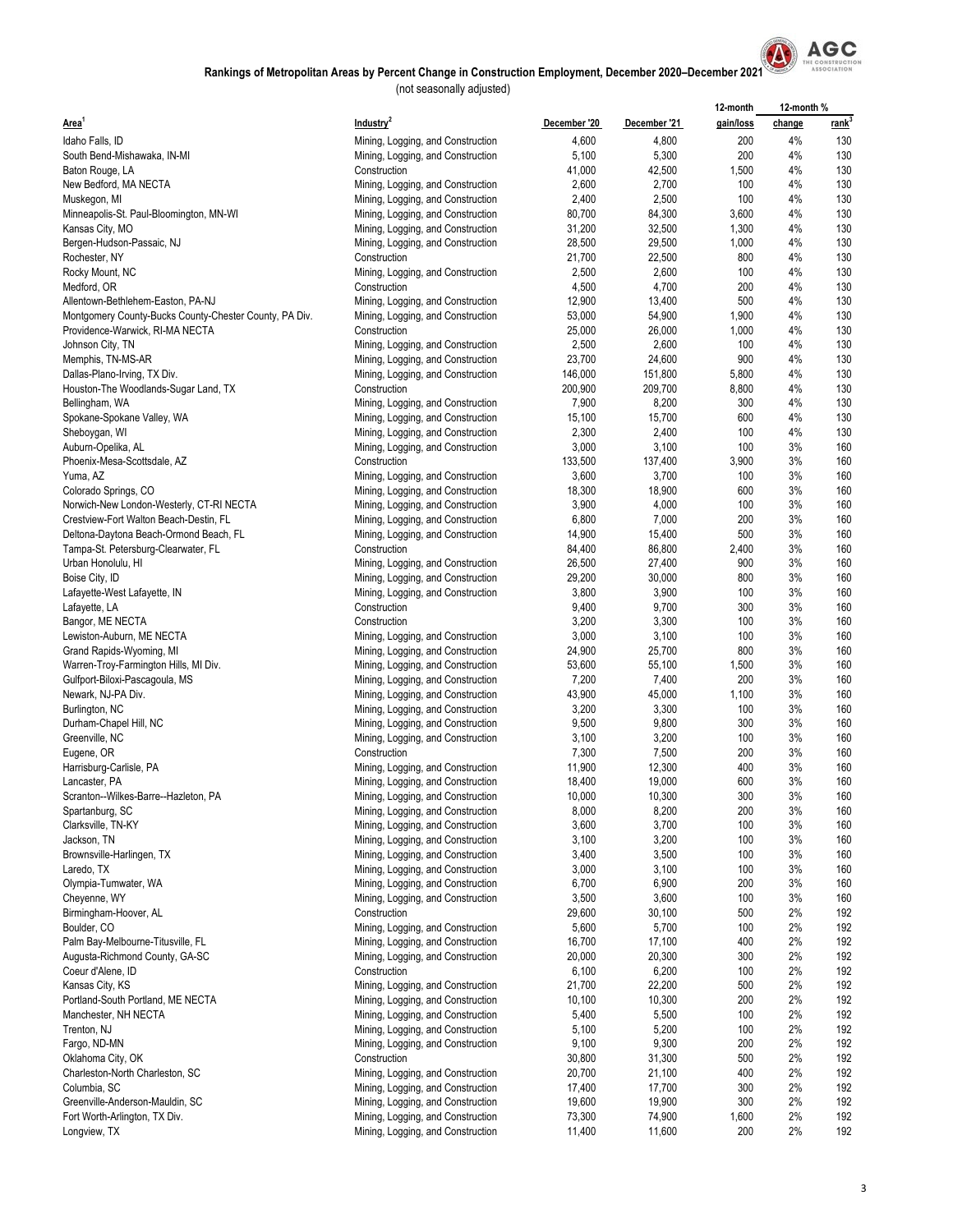

|                                                         |                                                                        |                  |                  | 12-month     | 12-month % |                   |
|---------------------------------------------------------|------------------------------------------------------------------------|------------------|------------------|--------------|------------|-------------------|
| Area <sup>1</sup>                                       | Industry <sup>2</sup>                                                  | December '20     | December '21     | gain/loss    | change     | rank <sup>3</sup> |
| Idaho Falls, ID                                         | Mining, Logging, and Construction                                      | 4,600            | 4,800            | 200          | 4%         | 130               |
| South Bend-Mishawaka, IN-MI                             | Mining, Logging, and Construction                                      | 5,100            | 5,300            | 200          | 4%         | 130               |
| Baton Rouge, LA                                         | Construction                                                           | 41,000           | 42,500           | 1,500        | 4%         | 130               |
| New Bedford, MA NECTA                                   | Mining, Logging, and Construction                                      | 2,600            | 2,700            | 100          | 4%         | 130               |
| Muskegon, MI                                            | Mining, Logging, and Construction                                      | 2,400            | 2,500            | 100          | 4%         | 130               |
| Minneapolis-St. Paul-Bloomington, MN-WI                 | Mining, Logging, and Construction                                      | 80,700           | 84,300           | 3,600        | 4%         | 130               |
| Kansas City, MO                                         | Mining, Logging, and Construction                                      | 31,200           | 32,500           | 1,300        | 4%         | 130               |
| Bergen-Hudson-Passaic, NJ                               | Mining, Logging, and Construction                                      | 28,500           | 29,500           | 1,000        | 4%         | 130               |
| Rochester, NY                                           | Construction                                                           | 21,700           | 22,500           | 800          | 4%         | 130               |
| Rocky Mount, NC                                         | Mining, Logging, and Construction<br>Construction                      | 2,500<br>4,500   | 2,600<br>4,700   | 100<br>200   | 4%<br>4%   | 130<br>130        |
| Medford, OR<br>Allentown-Bethlehem-Easton, PA-NJ        | Mining, Logging, and Construction                                      | 12,900           | 13,400           | 500          | 4%         | 130               |
| Montgomery County-Bucks County-Chester County, PA Div.  | Mining, Logging, and Construction                                      | 53,000           | 54,900           | 1,900        | 4%         | 130               |
| Providence-Warwick, RI-MA NECTA                         | Construction                                                           | 25,000           | 26,000           | 1,000        | 4%         | 130               |
| Johnson City, TN                                        | Mining, Logging, and Construction                                      | 2,500            | 2,600            | 100          | 4%         | 130               |
| Memphis, TN-MS-AR                                       | Mining, Logging, and Construction                                      | 23,700           | 24,600           | 900          | 4%         | 130               |
| Dallas-Plano-Irving, TX Div.                            | Mining, Logging, and Construction                                      | 146,000          | 151,800          | 5,800        | 4%         | 130               |
| Houston-The Woodlands-Sugar Land, TX                    | Construction                                                           | 200,900          | 209,700          | 8,800        | 4%         | 130               |
| Bellingham, WA                                          | Mining, Logging, and Construction                                      | 7,900            | 8,200            | 300          | 4%         | 130               |
| Spokane-Spokane Valley, WA                              | Mining, Logging, and Construction                                      | 15,100           | 15,700           | 600          | 4%         | 130               |
| Sheboygan, WI                                           | Mining, Logging, and Construction                                      | 2,300            | 2,400            | 100          | 4%         | 130               |
| Auburn-Opelika, AL                                      | Mining, Logging, and Construction                                      | 3,000            | 3,100            | 100          | 3%         | 160               |
| Phoenix-Mesa-Scottsdale, AZ                             | Construction                                                           | 133,500          | 137,400          | 3,900        | 3%         | 160               |
| Yuma, AZ                                                | Mining, Logging, and Construction                                      | 3,600            | 3,700            | 100          | 3%         | 160               |
| Colorado Springs, CO                                    | Mining, Logging, and Construction                                      | 18,300           | 18,900           | 600          | 3%         | 160               |
| Norwich-New London-Westerly, CT-RI NECTA                | Mining, Logging, and Construction                                      | 3,900            | 4,000            | 100          | 3%         | 160               |
| Crestview-Fort Walton Beach-Destin, FL                  | Mining, Logging, and Construction                                      | 6,800            | 7,000            | 200          | 3%         | 160               |
| Deltona-Daytona Beach-Ormond Beach, FL                  | Mining, Logging, and Construction                                      | 14,900           | 15,400           | 500          | 3%         | 160               |
| Tampa-St. Petersburg-Clearwater, FL                     | Construction                                                           | 84,400           | 86,800           | 2,400<br>900 | 3%<br>3%   | 160<br>160        |
| Urban Honolulu, HI<br>Boise City, ID                    | Mining, Logging, and Construction<br>Mining, Logging, and Construction | 26,500<br>29,200 | 27,400<br>30,000 | 800          | 3%         | 160               |
| Lafayette-West Lafayette, IN                            | Mining, Logging, and Construction                                      | 3,800            | 3,900            | 100          | 3%         | 160               |
| Lafayette, LA                                           | Construction                                                           | 9,400            | 9,700            | 300          | 3%         | 160               |
| Bangor, ME NECTA                                        | Construction                                                           | 3,200            | 3,300            | 100          | 3%         | 160               |
| Lewiston-Auburn, ME NECTA                               | Mining, Logging, and Construction                                      | 3,000            | 3,100            | 100          | 3%         | 160               |
| Grand Rapids-Wyoming, MI                                | Mining, Logging, and Construction                                      | 24,900           | 25,700           | 800          | 3%         | 160               |
| Warren-Troy-Farmington Hills, MI Div.                   | Mining, Logging, and Construction                                      | 53,600           | 55,100           | 1,500        | 3%         | 160               |
| Gulfport-Biloxi-Pascagoula, MS                          | Mining, Logging, and Construction                                      | 7,200            | 7,400            | 200          | 3%         | 160               |
| Newark, NJ-PA Div.                                      | Mining, Logging, and Construction                                      | 43,900           | 45,000           | 1,100        | 3%         | 160               |
| Burlington, NC                                          | Mining, Logging, and Construction                                      | 3,200            | 3,300            | 100          | 3%         | 160               |
| Durham-Chapel Hill, NC                                  | Mining, Logging, and Construction                                      | 9,500            | 9,800            | 300          | 3%         | 160               |
| Greenville, NC                                          | Mining, Logging, and Construction                                      | 3,100            | 3,200            | 100          | 3%         | 160               |
| Eugene, OR                                              | Construction                                                           | 7,300            | 7,500            | 200          | 3%         | 160               |
| Harrisburg-Carlisle, PA                                 | Mining, Logging, and Construction                                      | 11,900           | 12,300           | 400          | 3%<br>3%   | 160               |
| Lancaster, PA                                           | Mining, Logging, and Construction<br>Mining, Logging, and Construction | 18,400<br>10,000 | 19,000<br>10,300 | 600<br>300   | 3%         | 160<br>160        |
| Scranton--Wilkes-Barre--Hazleton, PA<br>Spartanburg, SC | Mining, Logging, and Construction                                      | 8,000            | 8,200            | 200          | 3%         | 160               |
| Clarksville, TN-KY                                      | Mining, Logging, and Construction                                      | 3,600            | 3,700            | 100          | 3%         | 160               |
| Jackson, TN                                             | Mining, Logging, and Construction                                      | 3,100            | 3,200            | 100          | 3%         | 160               |
| Brownsville-Harlingen, TX                               | Mining, Logging, and Construction                                      | 3,400            | 3,500            | 100          | 3%         | 160               |
| Laredo, TX                                              | Mining, Logging, and Construction                                      | 3,000            | 3,100            | 100          | 3%         | 160               |
| Olympia-Tumwater, WA                                    | Mining, Logging, and Construction                                      | 6,700            | 6,900            | 200          | 3%         | 160               |
| Cheyenne, WY                                            | Mining, Logging, and Construction                                      | 3,500            | 3,600            | 100          | 3%         | 160               |
| Birmingham-Hoover, AL                                   | Construction                                                           | 29,600           | 30,100           | 500          | 2%         | 192               |
| Boulder, CO                                             | Mining, Logging, and Construction                                      | 5,600            | 5,700            | 100          | 2%         | 192               |
| Palm Bay-Melbourne-Titusville, FL                       | Mining, Logging, and Construction                                      | 16,700           | 17,100           | 400          | 2%         | 192               |
| Augusta-Richmond County, GA-SC                          | Mining, Logging, and Construction                                      | 20,000           | 20,300           | 300          | 2%         | 192               |
| Coeur d'Alene, ID                                       | Construction                                                           | 6,100            | 6,200            | 100          | 2%         | 192               |
| Kansas City, KS                                         | Mining, Logging, and Construction                                      | 21,700           | 22,200           | 500          | 2%         | 192               |
| Portland-South Portland, ME NECTA                       | Mining, Logging, and Construction                                      | 10,100           | 10,300           | 200          | 2%         | 192               |
| Manchester, NH NECTA<br>Trenton, NJ                     | Mining, Logging, and Construction                                      | 5,400<br>5,100   | 5,500<br>5,200   | 100<br>100   | 2%<br>2%   | 192<br>192        |
| Fargo, ND-MN                                            | Mining, Logging, and Construction<br>Mining, Logging, and Construction | 9,100            | 9,300            | 200          | 2%         | 192               |
| Oklahoma City, OK                                       | Construction                                                           | 30,800           | 31,300           | 500          | 2%         | 192               |
| Charleston-North Charleston, SC                         | Mining, Logging, and Construction                                      | 20,700           | 21,100           | 400          | 2%         | 192               |
| Columbia, SC                                            | Mining, Logging, and Construction                                      | 17,400           | 17,700           | 300          | 2%         | 192               |
| Greenville-Anderson-Mauldin, SC                         | Mining, Logging, and Construction                                      | 19,600           | 19,900           | 300          | 2%         | 192               |
| Fort Worth-Arlington, TX Div.                           | Mining, Logging, and Construction                                      | 73,300           | 74,900           | 1,600        | 2%         | 192               |
| Longview, TX                                            | Mining, Logging, and Construction                                      | 11,400           | 11,600           | 200          | 2%         | 192               |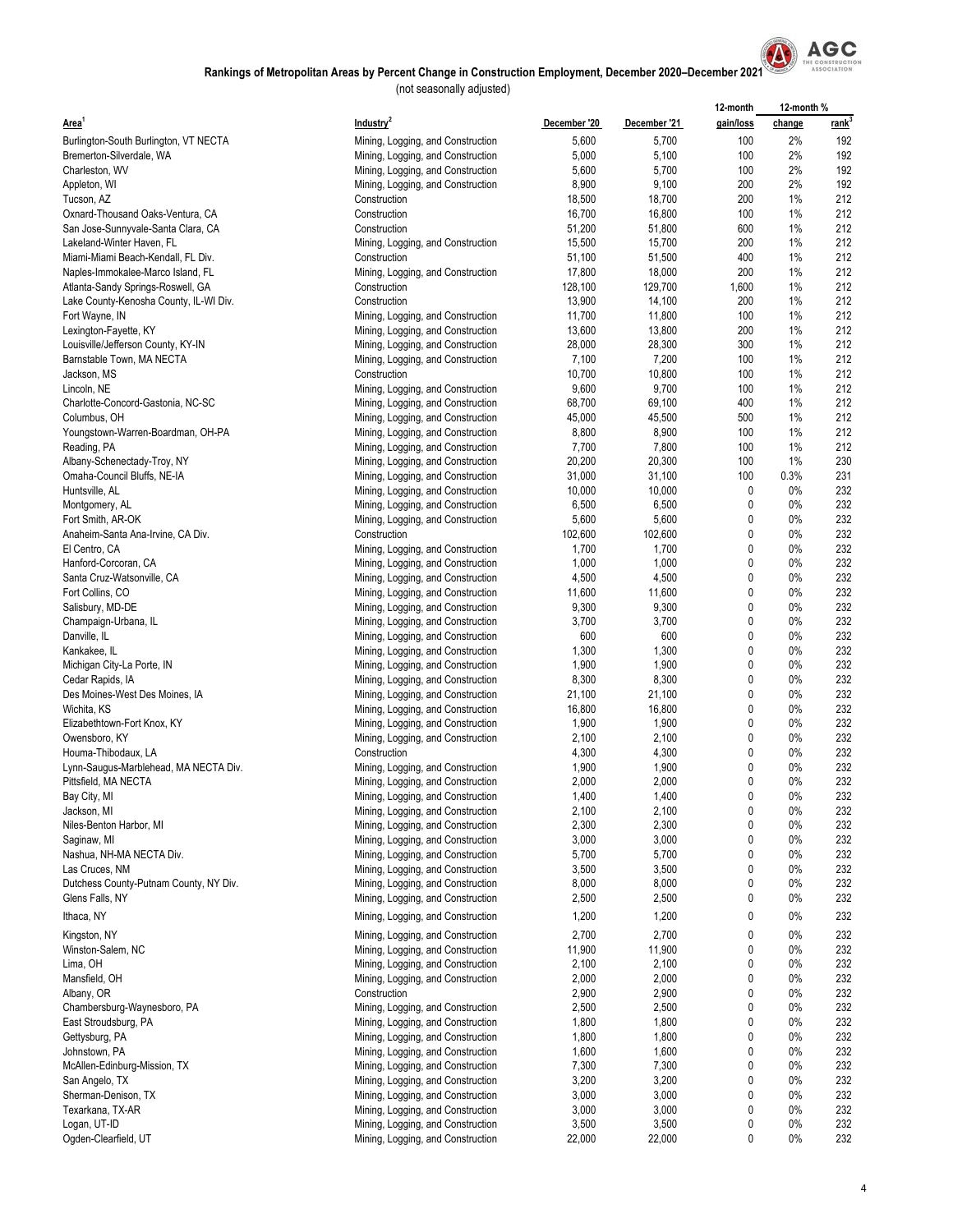

|                                                                        |                                                                        |                  |                  | 12-month     | 12-month %  |             |
|------------------------------------------------------------------------|------------------------------------------------------------------------|------------------|------------------|--------------|-------------|-------------|
| Area <sup>1</sup>                                                      | Industry <sup>2</sup>                                                  | December '20     | December '21     | gain/loss    | change      | <u>rank</u> |
| Burlington-South Burlington, VT NECTA                                  | Mining, Logging, and Construction                                      | 5,600            | 5,700            | 100          | 2%          | 192         |
| Bremerton-Silverdale, WA                                               | Mining, Logging, and Construction                                      | 5,000            | 5,100            | 100          | 2%          | 192         |
| Charleston, WV                                                         | Mining, Logging, and Construction                                      | 5,600            | 5,700            | 100          | 2%          | 192         |
| Appleton, WI                                                           | Mining, Logging, and Construction                                      | 8,900            | 9,100            | 200          | 2%          | 192         |
| Tucson, AZ                                                             | Construction                                                           | 18,500           | 18,700           | 200          | 1%          | 212<br>212  |
| Oxnard-Thousand Oaks-Ventura, CA<br>San Jose-Sunnyvale-Santa Clara, CA | Construction<br>Construction                                           | 16,700<br>51,200 | 16,800<br>51,800 | 100<br>600   | 1%<br>1%    | 212         |
| Lakeland-Winter Haven, FL                                              | Mining, Logging, and Construction                                      | 15,500           | 15,700           | 200          | 1%          | 212         |
| Miami-Miami Beach-Kendall, FL Div.                                     | Construction                                                           | 51,100           | 51,500           | 400          | 1%          | 212         |
| Naples-Immokalee-Marco Island, FL                                      | Mining, Logging, and Construction                                      | 17,800           | 18,000           | 200          | 1%          | 212         |
| Atlanta-Sandy Springs-Roswell, GA                                      | Construction                                                           | 128,100          | 129,700          | 1,600        | 1%          | 212         |
| Lake County-Kenosha County, IL-WI Div.                                 | Construction                                                           | 13,900           | 14,100           | 200          | 1%          | 212         |
| Fort Wayne, IN                                                         | Mining, Logging, and Construction                                      | 11,700           | 11,800           | 100          | 1%          | 212         |
| Lexington-Fayette, KY                                                  | Mining, Logging, and Construction                                      | 13,600           | 13,800           | 200          | 1%          | 212         |
| Louisville/Jefferson County, KY-IN                                     | Mining, Logging, and Construction                                      | 28,000           | 28,300           | 300          | 1%          | 212         |
| Barnstable Town, MA NECTA<br>Jackson, MS                               | Mining, Logging, and Construction<br>Construction                      | 7,100<br>10,700  | 7,200<br>10,800  | 100<br>100   | 1%<br>1%    | 212<br>212  |
| Lincoln, NE                                                            | Mining, Logging, and Construction                                      | 9,600            | 9,700            | 100          | 1%          | 212         |
| Charlotte-Concord-Gastonia, NC-SC                                      | Mining, Logging, and Construction                                      | 68,700           | 69,100           | 400          | 1%          | 212         |
| Columbus, OH                                                           | Mining, Logging, and Construction                                      | 45,000           | 45,500           | 500          | 1%          | 212         |
| Youngstown-Warren-Boardman, OH-PA                                      | Mining, Logging, and Construction                                      | 8,800            | 8,900            | 100          | 1%          | 212         |
| Reading, PA                                                            | Mining, Logging, and Construction                                      | 7,700            | 7,800            | 100          | 1%          | 212         |
| Albany-Schenectady-Troy, NY                                            | Mining, Logging, and Construction                                      | 20,200           | 20,300           | 100          | 1%          | 230         |
| Omaha-Council Bluffs, NE-IA                                            | Mining, Logging, and Construction                                      | 31,000           | 31,100           | 100          | 0.3%        | 231         |
| Huntsville, AL                                                         | Mining, Logging, and Construction                                      | 10,000           | 10,000           | 0            | 0%          | 232         |
| Montgomery, AL                                                         | Mining, Logging, and Construction                                      | 6,500            | 6,500            | 0            | $0\%$       | 232         |
| Fort Smith, AR-OK                                                      | Mining, Logging, and Construction                                      | 5,600            | 5,600            | 0<br>0       | $0\%$<br>0% | 232<br>232  |
| Anaheim-Santa Ana-Irvine, CA Div.<br>El Centro, CA                     | Construction<br>Mining, Logging, and Construction                      | 102,600<br>1,700 | 102,600<br>1,700 | 0            | $0\%$       | 232         |
| Hanford-Corcoran, CA                                                   | Mining, Logging, and Construction                                      | 1,000            | 1,000            | 0            | $0\%$       | 232         |
| Santa Cruz-Watsonville, CA                                             | Mining, Logging, and Construction                                      | 4,500            | 4,500            | 0            | $0\%$       | 232         |
| Fort Collins, CO                                                       | Mining, Logging, and Construction                                      | 11,600           | 11,600           | $\mathbf{0}$ | 0%          | 232         |
| Salisbury, MD-DE                                                       | Mining, Logging, and Construction                                      | 9,300            | 9,300            | 0            | $0\%$       | 232         |
| Champaign-Urbana, IL                                                   | Mining, Logging, and Construction                                      | 3,700            | 3,700            | 0            | $0\%$       | 232         |
| Danville, IL                                                           | Mining, Logging, and Construction                                      | 600              | 600              | 0            | $0\%$       | 232         |
| Kankakee, IL                                                           | Mining, Logging, and Construction                                      | 1,300            | 1,300            | 0            | $0\%$       | 232         |
| Michigan City-La Porte, IN                                             | Mining, Logging, and Construction                                      | 1,900<br>8,300   | 1,900<br>8,300   | 0<br>0       | 0%<br>$0\%$ | 232<br>232  |
| Cedar Rapids, IA<br>Des Moines-West Des Moines, IA                     | Mining, Logging, and Construction<br>Mining, Logging, and Construction | 21,100           | 21,100           | 0            | $0\%$       | 232         |
| Wichita, KS                                                            | Mining, Logging, and Construction                                      | 16,800           | 16,800           | 0            | $0\%$       | 232         |
| Elizabethtown-Fort Knox, KY                                            | Mining, Logging, and Construction                                      | 1,900            | 1,900            | 0            | 0%          | 232         |
| Owensboro, KY                                                          | Mining, Logging, and Construction                                      | 2,100            | 2,100            | 0            | $0\%$       | 232         |
| Houma-Thibodaux, LA                                                    | Construction                                                           | 4,300            | 4,300            | 0            | $0\%$       | 232         |
| Lynn-Saugus-Marblehead, MA NECTA Div.                                  | Mining, Logging, and Construction                                      | 1,900            | 1,900            | 0            | $0\%$       | 232         |
| Pittsfield, MA NECTA                                                   | Mining, Logging, and Construction                                      | 2,000            | 2,000            | 0            | $0\%$       | 232         |
| Bay City, MI                                                           | Mining, Logging, and Construction                                      | 1,400            | 1,400            | 0            | 0%          | 232         |
| Jackson, MI<br>Niles-Benton Harbor, MI                                 | Mining, Logging, and Construction<br>Mining, Logging, and Construction | 2,100<br>2,300   | 2,100<br>2,300   | 0<br>0       | 0%<br>0%    | 232<br>232  |
| Saginaw, MI                                                            | Mining, Logging, and Construction                                      | 3,000            | 3,000            | 0            | 0%          | 232         |
| Nashua, NH-MA NECTA Div.                                               | Mining, Logging, and Construction                                      | 5,700            | 5,700            | 0            | 0%          | 232         |
| Las Cruces, NM                                                         | Mining, Logging, and Construction                                      | 3,500            | 3,500            | 0            | 0%          | 232         |
| Dutchess County-Putnam County, NY Div.                                 | Mining, Logging, and Construction                                      | 8,000            | 8,000            | 0            | 0%          | 232         |
| Glens Falls, NY                                                        | Mining, Logging, and Construction                                      | 2,500            | 2,500            | 0            | 0%          | 232         |
| Ithaca, NY                                                             | Mining, Logging, and Construction                                      | 1,200            | 1,200            | 0            | 0%          | 232         |
| Kingston, NY                                                           | Mining, Logging, and Construction                                      | 2,700            | 2,700            | 0            | 0%          | 232         |
| Winston-Salem, NC                                                      | Mining, Logging, and Construction                                      | 11,900           | 11,900           | 0            | 0%          | 232         |
| Lima, OH                                                               | Mining, Logging, and Construction                                      | 2,100            | 2,100            | 0            | 0%          | 232         |
| Mansfield, OH                                                          | Mining, Logging, and Construction                                      | 2,000            | 2,000            | 0            | 0%          | 232         |
| Albany, OR                                                             | Construction                                                           | 2,900            | 2,900            | 0            | 0%          | 232         |
| Chambersburg-Waynesboro, PA                                            | Mining, Logging, and Construction                                      | 2,500            | 2,500            | 0            | 0%          | 232         |
| East Stroudsburg, PA                                                   | Mining, Logging, and Construction                                      | 1,800            | 1,800            | 0            | 0%          | 232         |
| Gettysburg, PA<br>Johnstown, PA                                        | Mining, Logging, and Construction<br>Mining, Logging, and Construction | 1,800<br>1,600   | 1,800<br>1,600   | 0<br>0       | 0%<br>0%    | 232<br>232  |
| McAllen-Edinburg-Mission, TX                                           | Mining, Logging, and Construction                                      | 7,300            | 7,300            | 0            | 0%          | 232         |
| San Angelo, TX                                                         | Mining, Logging, and Construction                                      | 3,200            | 3,200            | 0            | 0%          | 232         |
| Sherman-Denison, TX                                                    | Mining, Logging, and Construction                                      | 3,000            | 3,000            | 0            | 0%          | 232         |
| Texarkana, TX-AR                                                       | Mining, Logging, and Construction                                      | 3,000            | 3,000            | 0            | 0%          | 232         |
| Logan, UT-ID                                                           | Mining, Logging, and Construction                                      | 3,500            | 3,500            | 0            | 0%          | 232         |
| Ogden-Clearfield, UT                                                   | Mining, Logging, and Construction                                      | 22,000           | 22,000           | 0            | 0%          | 232         |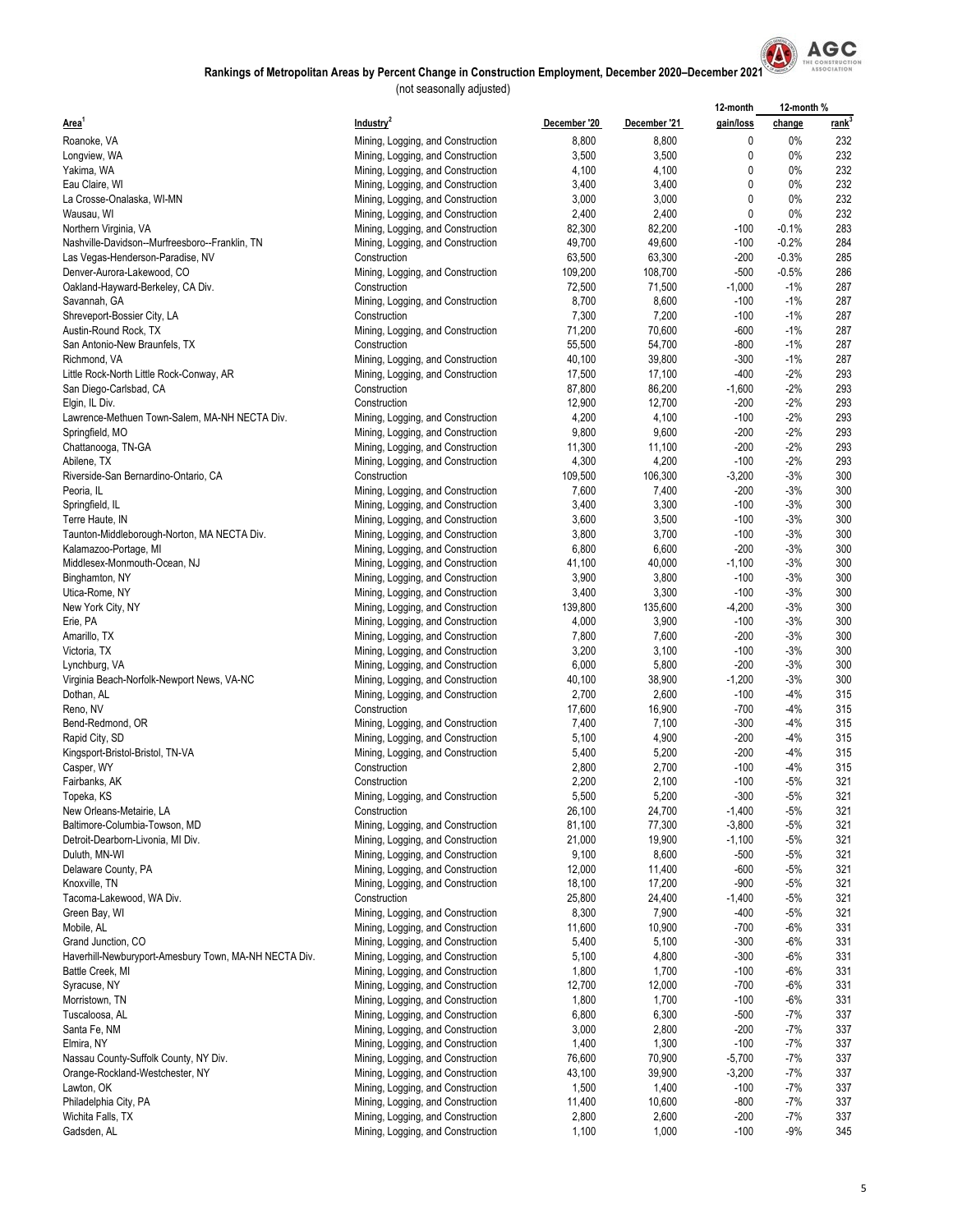

|                                                       |                                   |              |              | 12-month     | 12-month% |             |  |
|-------------------------------------------------------|-----------------------------------|--------------|--------------|--------------|-----------|-------------|--|
| Area <sup>1</sup>                                     | Industry <sup>2</sup>             | December '20 | December '21 | gain/loss    | change    | <u>rank</u> |  |
| Roanoke, VA                                           | Mining, Logging, and Construction | 8,800        | 8,800        | 0            | $0\%$     | 232         |  |
| Longview, WA                                          | Mining, Logging, and Construction | 3,500        | 3,500        | 0            | 0%        | 232         |  |
| Yakima, WA                                            | Mining, Logging, and Construction | 4,100        | 4,100        | 0            | $0\%$     | 232         |  |
| Eau Claire, WI                                        | Mining, Logging, and Construction | 3,400        | 3,400        | $\mathbf{0}$ | 0%        | 232         |  |
| La Crosse-Onalaska, WI-MN                             | Mining, Logging, and Construction | 3,000        | 3,000        | 0            | $0\%$     | 232         |  |
| Wausau, WI                                            | Mining, Logging, and Construction | 2,400        | 2,400        | 0            | $0\%$     | 232         |  |
| Northern Virginia, VA                                 | Mining, Logging, and Construction | 82,300       | 82,200       | $-100$       | $-0.1%$   | 283         |  |
| Nashville-Davidson--Murfreesboro--Franklin, TN        | Mining, Logging, and Construction | 49,700       | 49,600       | $-100$       | $-0.2%$   | 284         |  |
| Las Vegas-Henderson-Paradise, NV                      | Construction                      | 63,500       | 63,300       | $-200$       | $-0.3%$   | 285         |  |
| Denver-Aurora-Lakewood, CO                            | Mining, Logging, and Construction | 109,200      | 108,700      | -500         | $-0.5%$   | 286         |  |
| Oakland-Hayward-Berkeley, CA Div.                     | Construction                      | 72,500       | 71,500       | $-1,000$     | $-1%$     | 287         |  |
| Savannah, GA                                          | Mining, Logging, and Construction | 8,700        | 8,600        | $-100$       | $-1%$     | 287         |  |
| Shreveport-Bossier City, LA                           | Construction                      | 7,300        | 7,200        | $-100$       | $-1%$     | 287         |  |
| Austin-Round Rock, TX                                 | Mining, Logging, and Construction | 71,200       | 70,600       | -600         | $-1%$     | 287         |  |
| San Antonio-New Braunfels, TX                         | Construction                      | 55,500       | 54,700       | $-800$       | $-1%$     | 287         |  |
| Richmond, VA                                          | Mining, Logging, and Construction | 40,100       | 39,800       | $-300$       | $-1%$     | 287         |  |
| Little Rock-North Little Rock-Conway, AR              | Mining, Logging, and Construction | 17,500       | 17,100       | $-400$       | $-2%$     | 293         |  |
| San Diego-Carlsbad, CA                                | Construction                      | 87,800       | 86,200       | $-1,600$     | $-2%$     | 293         |  |
| Elgin, IL Div.                                        | Construction                      | 12,900       | 12,700       | -200         | $-2%$     | 293         |  |
| Lawrence-Methuen Town-Salem, MA-NH NECTA Div.         | Mining, Logging, and Construction | 4,200        | 4,100        | $-100$       | $-2%$     | 293         |  |
| Springfield, MO                                       |                                   | 9,800        | 9,600        | $-200$       | $-2%$     | 293         |  |
|                                                       | Mining, Logging, and Construction |              |              | $-200$       |           | 293         |  |
| Chattanooga, TN-GA                                    | Mining, Logging, and Construction | 11,300       | 11,100       |              | $-2%$     |             |  |
| Abilene, TX                                           | Mining, Logging, and Construction | 4,300        | 4,200        | $-100$       | $-2%$     | 293         |  |
| Riverside-San Bernardino-Ontario, CA                  | Construction                      | 109,500      | 106,300      | $-3,200$     | $-3%$     | 300         |  |
| Peoria, IL                                            | Mining, Logging, and Construction | 7,600        | 7,400        | $-200$       | $-3%$     | 300         |  |
| Springfield, IL                                       | Mining, Logging, and Construction | 3,400        | 3,300        | $-100$       | $-3%$     | 300         |  |
| Terre Haute, IN                                       | Mining, Logging, and Construction | 3,600        | 3,500        | $-100$       | $-3%$     | 300         |  |
| Taunton-Middleborough-Norton, MA NECTA Div.           | Mining, Logging, and Construction | 3,800        | 3,700        | $-100$       | $-3%$     | 300         |  |
| Kalamazoo-Portage, MI                                 | Mining, Logging, and Construction | 6,800        | 6,600        | $-200$       | $-3%$     | 300         |  |
| Middlesex-Monmouth-Ocean, NJ                          | Mining, Logging, and Construction | 41,100       | 40,000       | $-1,100$     | $-3%$     | 300         |  |
| Binghamton, NY                                        | Mining, Logging, and Construction | 3,900        | 3,800        | $-100$       | $-3%$     | 300         |  |
| Utica-Rome, NY                                        | Mining, Logging, and Construction | 3,400        | 3,300        | $-100$       | $-3%$     | 300         |  |
| New York City, NY                                     | Mining, Logging, and Construction | 139,800      | 135,600      | $-4,200$     | $-3%$     | 300         |  |
| Erie, PA                                              | Mining, Logging, and Construction | 4,000        | 3,900        | $-100$       | $-3%$     | 300         |  |
| Amarillo, TX                                          | Mining, Logging, and Construction | 7,800        | 7,600        | $-200$       | $-3%$     | 300         |  |
| Victoria, TX                                          | Mining, Logging, and Construction | 3,200        | 3,100        | $-100$       | $-3%$     | 300         |  |
| Lynchburg, VA                                         | Mining, Logging, and Construction | 6,000        | 5,800        | $-200$       | $-3%$     | 300         |  |
| Virginia Beach-Norfolk-Newport News, VA-NC            | Mining, Logging, and Construction | 40,100       | 38,900       | $-1,200$     | $-3%$     | 300         |  |
| Dothan, AL                                            | Mining, Logging, and Construction | 2,700        | 2,600        | $-100$       | $-4%$     | 315         |  |
| Reno, NV                                              | Construction                      | 17,600       | 16,900       | $-700$       | $-4%$     | 315         |  |
| Bend-Redmond, OR                                      | Mining, Logging, and Construction | 7,400        | 7,100        | $-300$       | $-4%$     | 315         |  |
| Rapid City, SD                                        | Mining, Logging, and Construction | 5,100        | 4,900        | $-200$       | $-4%$     | 315         |  |
| Kingsport-Bristol-Bristol, TN-VA                      | Mining, Logging, and Construction | 5,400        | 5,200        | $-200$       | $-4%$     | 315         |  |
| Casper, WY                                            | Construction                      | 2,800        | 2,700        | $-100$       | $-4%$     | 315         |  |
| Fairbanks, AK                                         | Construction                      | 2,200        | 2,100        | $-100$       | $-5%$     | 321         |  |
| Topeka, KS                                            | Mining, Logging, and Construction | 5,500        | 5,200        | $-300$       | -5%       | 321         |  |
| New Orleans-Metairie, LA                              | Construction                      | 26,100       | 24,700       | $-1,400$     | $-5%$     | 321         |  |
| Baltimore-Columbia-Towson, MD                         | Mining, Logging, and Construction | 81,100       | 77,300       | $-3,800$     | $-5%$     | 321         |  |
| Detroit-Dearborn-Livonia, MI Div.                     | Mining, Logging, and Construction | 21,000       | 19,900       | $-1,100$     | $-5%$     | 321         |  |
| Duluth, MN-WI                                         | Mining, Logging, and Construction | 9,100        | 8,600        | $-500$       | -5%       | 321         |  |
| Delaware County, PA                                   | Mining, Logging, and Construction | 12,000       | 11,400       | $-600$       | -5%       | 321         |  |
| Knoxville, TN                                         | Mining, Logging, and Construction | 18,100       | 17,200       | -900         | -5%       | 321         |  |
| Tacoma-Lakewood, WA Div.                              | Construction                      | 25,800       | 24,400       | $-1,400$     | $-5%$     | 321         |  |
| Green Bay, WI                                         | Mining, Logging, and Construction | 8,300        | 7,900        | -400         | $-5%$     | 321         |  |
| Mobile, AL                                            | Mining, Logging, and Construction | 11,600       | 10,900       | -700         | -6%       | 331         |  |
| Grand Junction, CO                                    | Mining, Logging, and Construction | 5,400        | 5,100        | $-300$       | -6%       | 331         |  |
| Haverhill-Newburyport-Amesbury Town, MA-NH NECTA Div. | Mining, Logging, and Construction | 5,100        | 4,800        | $-300$       | $-6%$     | 331         |  |
| Battle Creek, MI                                      | Mining, Logging, and Construction | 1,800        | 1,700        | $-100$       | -6%       | 331         |  |
| Syracuse, NY                                          | Mining, Logging, and Construction | 12,700       | 12,000       | -700         | -6%       | 331         |  |
| Morristown, TN                                        | Mining, Logging, and Construction | 1,800        | 1,700        | $-100$       | -6%       | 331         |  |
| Tuscaloosa, AL                                        | Mining, Logging, and Construction | 6,800        | 6,300        | -500         | -7%       | 337         |  |
| Santa Fe, NM                                          | Mining, Logging, and Construction | 3,000        | 2,800        | $-200$       | $-7%$     | 337         |  |
| Elmira, NY                                            | Mining, Logging, and Construction | 1,400        | 1,300        | $-100$       | $-7%$     | 337         |  |
| Nassau County-Suffolk County, NY Div.                 | Mining, Logging, and Construction | 76,600       | 70,900       | $-5,700$     | $-7%$     | 337         |  |
| Orange-Rockland-Westchester, NY                       | Mining, Logging, and Construction | 43,100       | 39,900       | $-3,200$     | $-7%$     | 337         |  |
| Lawton, OK                                            | Mining, Logging, and Construction | 1,500        | 1,400        | $-100$       | $-7%$     | 337         |  |
| Philadelphia City, PA                                 | Mining, Logging, and Construction | 11,400       | 10,600       | -800         | $-7%$     | 337         |  |
| Wichita Falls, TX                                     | Mining, Logging, and Construction | 2,800        | 2,600        | $-200$       | -7%       | 337         |  |
| Gadsden, AL                                           | Mining, Logging, and Construction | 1,100        | 1,000        | $-100$       | -9%       | 345         |  |
|                                                       |                                   |              |              |              |           |             |  |